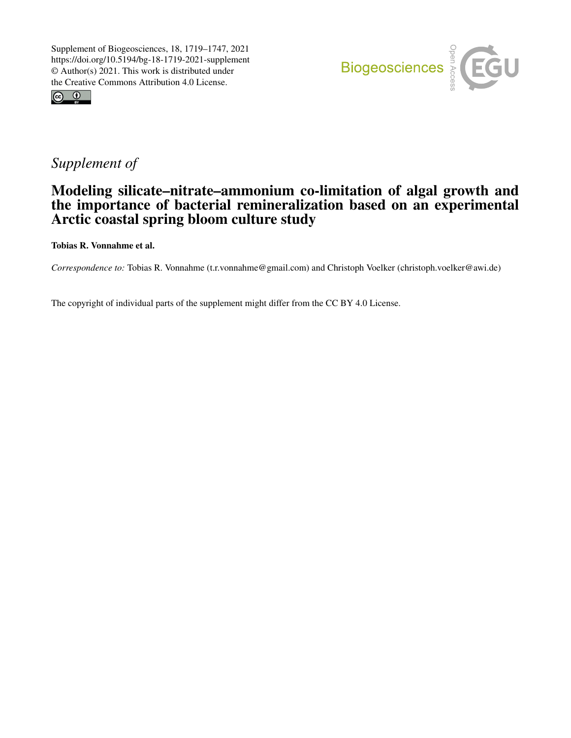



## *Supplement of*

## Modeling silicate–nitrate–ammonium co-limitation of algal growth and the importance of bacterial remineralization based on an experimental Arctic coastal spring bloom culture study

Tobias R. Vonnahme et al.

*Correspondence to:* Tobias R. Vonnahme (t.r.vonnahme@gmail.com) and Christoph Voelker (christoph.voelker@awi.de)

The copyright of individual parts of the supplement might differ from the CC BY 4.0 License.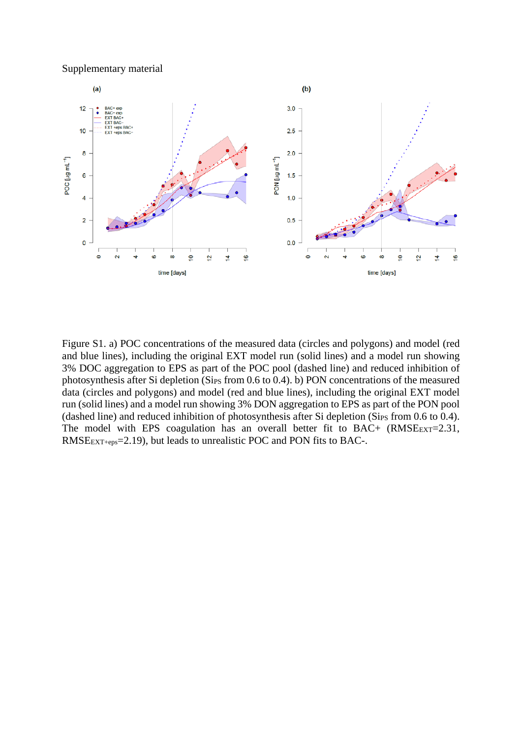Supplementary material



Figure S1. a) POC concentrations of the measured data (circles and polygons) and model (red and blue lines), including the original EXT model run (solid lines) and a model run showing 3% DOC aggregation to EPS as part of the POC pool (dashed line) and reduced inhibition of photosynthesis after Si depletion (Sips from 0.6 to 0.4). b) PON concentrations of the measured data (circles and polygons) and model (red and blue lines), including the original EXT model run (solid lines) and a model run showing 3% DON aggregation to EPS as part of the PON pool (dashed line) and reduced inhibition of photosynthesis after Si depletion (Sips from  $0.6$  to  $0.4$ ). The model with EPS coagulation has an overall better fit to  $BAC + (RMSE_{EXT}=2.31,$ RMSEEXT+eps=2.19), but leads to unrealistic POC and PON fits to BAC-.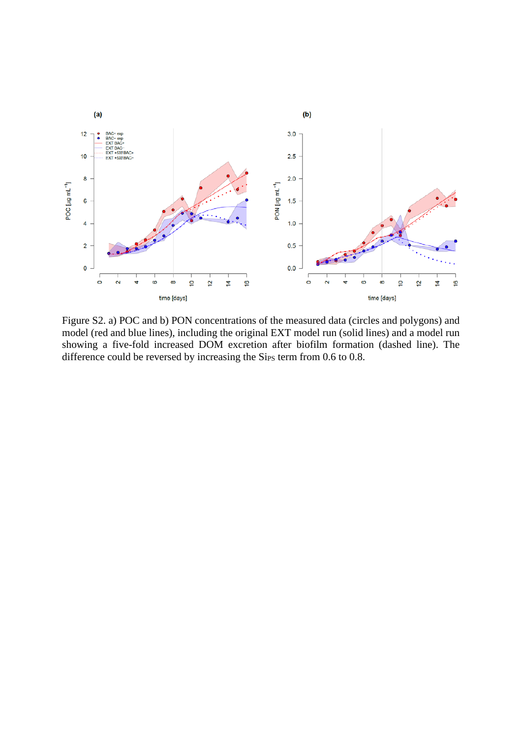

Figure S2. a) POC and b) PON concentrations of the measured data (circles and polygons) and model (red and blue lines), including the original EXT model run (solid lines) and a model run showing a five-fold increased DOM excretion after biofilm formation (dashed line). The difference could be reversed by increasing the Sips term from 0.6 to 0.8.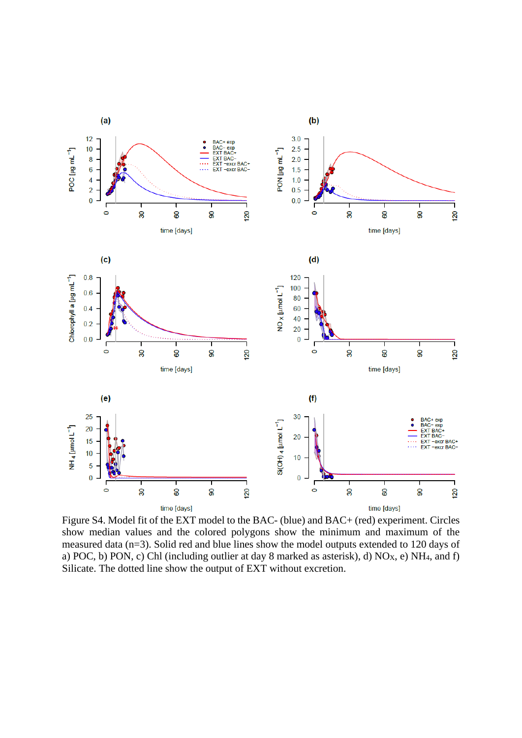

Figure S4. Model fit of the EXT model to the BAC- (blue) and BAC+ (red) experiment. Circles show median values and the colored polygons show the minimum and maximum of the measured data (n=3). Solid red and blue lines show the model outputs extended to 120 days of a) POC, b) PON, c) Chl (including outlier at day 8 marked as asterisk), d) NO<sub>x</sub>, e) NH<sub>4</sub>, and f) Silicate. The dotted line show the output of EXT without excretion.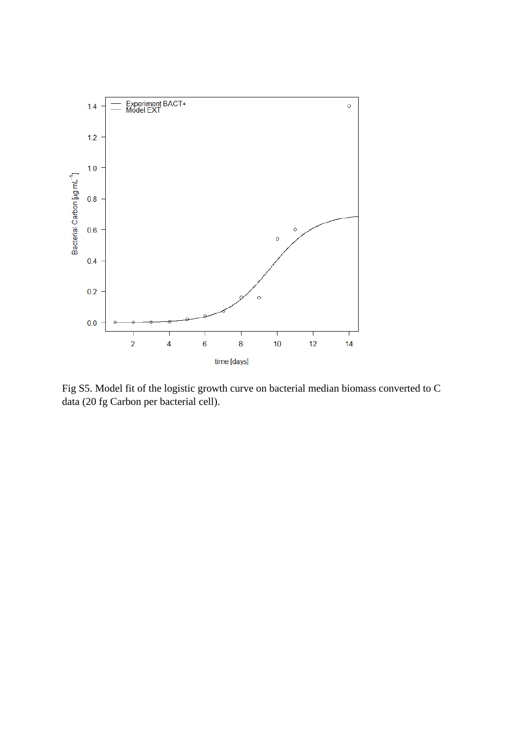

Fig S5. Model fit of the logistic growth curve on bacterial median biomass converted to C data (20 fg Carbon per bacterial cell).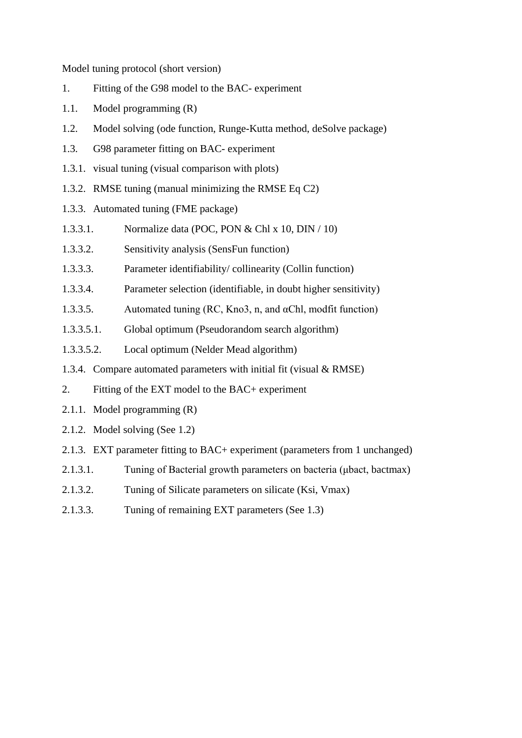Model tuning protocol (short version)

- 1. Fitting of the G98 model to the BAC- experiment
- 1.1. Model programming (R)
- 1.2. Model solving (ode function, Runge-Kutta method, deSolve package)
- 1.3. G98 parameter fitting on BAC- experiment
- 1.3.1. visual tuning (visual comparison with plots)
- 1.3.2. RMSE tuning (manual minimizing the RMSE Eq C2)
- 1.3.3. Automated tuning (FME package)
- 1.3.3.1. Normalize data (POC, PON & Chl x 10, DIN / 10)
- 1.3.3.2. Sensitivity analysis (SensFun function)
- 1.3.3.3. Parameter identifiability/ collinearity (Collin function)
- 1.3.3.4. Parameter selection (identifiable, in doubt higher sensitivity)
- 1.3.3.5. Automated tuning (RC, Kno3, n, and αChl, modfit function)
- 1.3.3.5.1. Global optimum (Pseudorandom search algorithm)
- 1.3.3.5.2. Local optimum (Nelder Mead algorithm)
- 1.3.4. Compare automated parameters with initial fit (visual & RMSE)
- 2. Fitting of the EXT model to the BAC+ experiment
- 2.1.1. Model programming (R)
- 2.1.2. Model solving (See 1.2)
- 2.1.3. EXT parameter fitting to BAC+ experiment (parameters from 1 unchanged)
- 2.1.3.1. Tuning of Bacterial growth parameters on bacteria (μbact, bactmax)
- 2.1.3.2. Tuning of Silicate parameters on silicate (Ksi, Vmax)
- 2.1.3.3. Tuning of remaining EXT parameters (See 1.3)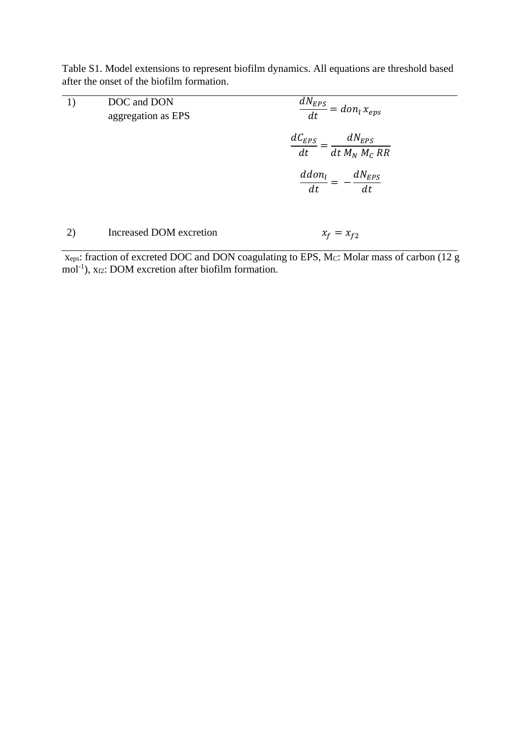Table S1. Model extensions to represent biofilm dynamics. All equations are threshold based after the onset of the biofilm formation.

| 1) | DOC and DON<br>aggregation as EPS | $\frac{dN_{EPS}}{dt} = \overline{don_l x_{eps}}$       |  |  |  |
|----|-----------------------------------|--------------------------------------------------------|--|--|--|
|    |                                   | $\frac{dC_{EPS}}{dt} = \frac{dN_{EPS}}{dt M_N M_C RR}$ |  |  |  |
|    |                                   | $\frac{ddon_l}{dt} =$<br>$-\frac{dN_{EPS}}{dt}$        |  |  |  |
| 2) | Increased DOM excretion           | $x_f = x_{f2}$                                         |  |  |  |

xeps: fraction of excreted DOC and DON coagulating to EPS, MC: Molar mass of carbon (12 g mol<sup>-1</sup>), x<sub>f2</sub>: DOM excretion after biofilm formation.